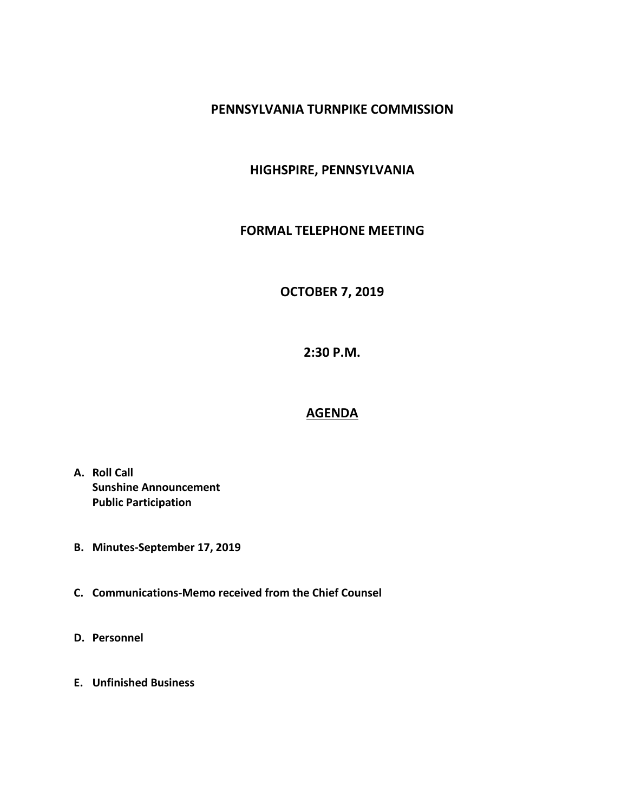#### **PENNSYLVANIA TURNPIKE COMMISSION**

### **HIGHSPIRE, PENNSYLVANIA**

#### **FORMAL TELEPHONE MEETING**

# **OCTOBER 7, 2019**

**2:30 P.M.**

## **AGENDA**

- **A. Roll Call Sunshine Announcement Public Participation**
- **B. Minutes-September 17, 2019**
- **C. Communications-Memo received from the Chief Counsel**
- **D. Personnel**
- **E. Unfinished Business**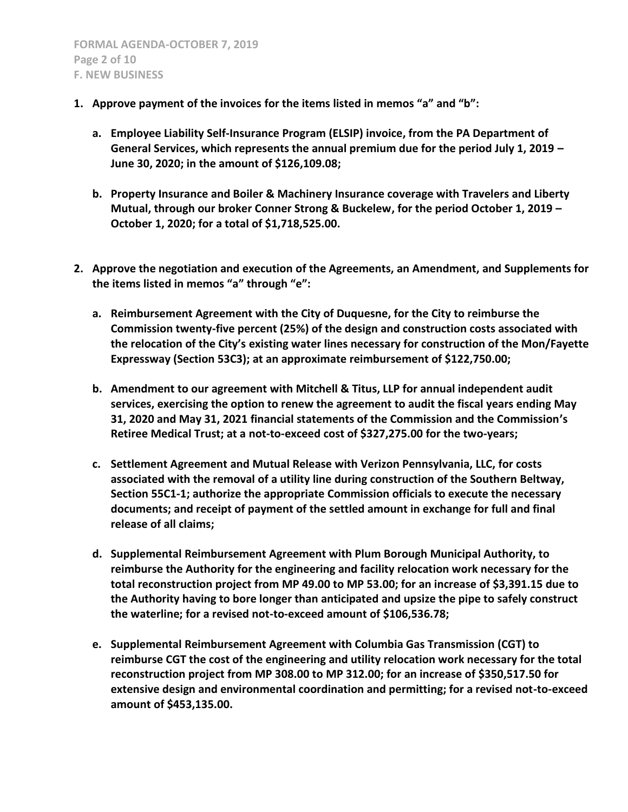- **1. Approve payment of the invoices for the items listed in memos "a" and "b":**
	- **a. Employee Liability Self-Insurance Program (ELSIP) invoice, from the PA Department of General Services, which represents the annual premium due for the period July 1, 2019 – June 30, 2020; in the amount of \$126,109.08;**
	- **b. Property Insurance and Boiler & Machinery Insurance coverage with Travelers and Liberty Mutual, through our broker Conner Strong & Buckelew, for the period October 1, 2019 – October 1, 2020; for a total of \$1,718,525.00.**
- **2. Approve the negotiation and execution of the Agreements, an Amendment, and Supplements for the items listed in memos "a" through "e":**
	- **a. Reimbursement Agreement with the City of Duquesne, for the City to reimburse the Commission twenty-five percent (25%) of the design and construction costs associated with the relocation of the City's existing water lines necessary for construction of the Mon/Fayette Expressway (Section 53C3); at an approximate reimbursement of \$122,750.00;**
	- **b. Amendment to our agreement with Mitchell & Titus, LLP for annual independent audit services, exercising the option to renew the agreement to audit the fiscal years ending May 31, 2020 and May 31, 2021 financial statements of the Commission and the Commission's Retiree Medical Trust; at a not-to-exceed cost of \$327,275.00 for the two-years;**
	- **c. Settlement Agreement and Mutual Release with Verizon Pennsylvania, LLC, for costs associated with the removal of a utility line during construction of the Southern Beltway, Section 55C1-1; authorize the appropriate Commission officials to execute the necessary documents; and receipt of payment of the settled amount in exchange for full and final release of all claims;**
	- **d. Supplemental Reimbursement Agreement with Plum Borough Municipal Authority, to reimburse the Authority for the engineering and facility relocation work necessary for the total reconstruction project from MP 49.00 to MP 53.00; for an increase of \$3,391.15 due to the Authority having to bore longer than anticipated and upsize the pipe to safely construct the waterline; for a revised not-to-exceed amount of \$106,536.78;**
	- **e. Supplemental Reimbursement Agreement with Columbia Gas Transmission (CGT) to reimburse CGT the cost of the engineering and utility relocation work necessary for the total reconstruction project from MP 308.00 to MP 312.00; for an increase of \$350,517.50 for extensive design and environmental coordination and permitting; for a revised not-to-exceed amount of \$453,135.00.**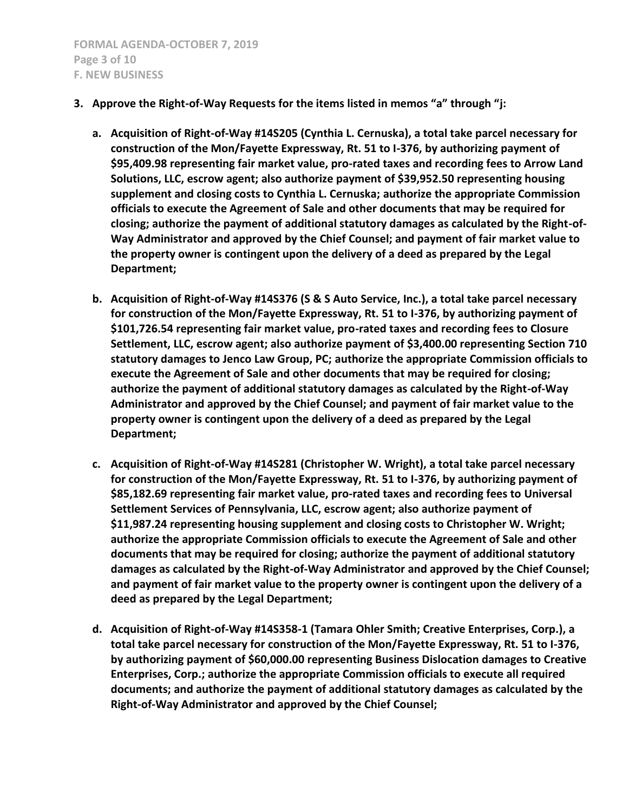- **3. Approve the Right-of-Way Requests for the items listed in memos "a" through "j:**
	- **a. Acquisition of Right-of-Way #14S205 (Cynthia L. Cernuska), a total take parcel necessary for construction of the Mon/Fayette Expressway, Rt. 51 to I-376, by authorizing payment of \$95,409.98 representing fair market value, pro-rated taxes and recording fees to Arrow Land Solutions, LLC, escrow agent; also authorize payment of \$39,952.50 representing housing supplement and closing costs to Cynthia L. Cernuska; authorize the appropriate Commission officials to execute the Agreement of Sale and other documents that may be required for closing; authorize the payment of additional statutory damages as calculated by the Right-of-Way Administrator and approved by the Chief Counsel; and payment of fair market value to the property owner is contingent upon the delivery of a deed as prepared by the Legal Department;**
	- **b. Acquisition of Right-of-Way #14S376 (S & S Auto Service, Inc.), a total take parcel necessary for construction of the Mon/Fayette Expressway, Rt. 51 to I-376, by authorizing payment of \$101,726.54 representing fair market value, pro-rated taxes and recording fees to Closure Settlement, LLC, escrow agent; also authorize payment of \$3,400.00 representing Section 710 statutory damages to Jenco Law Group, PC; authorize the appropriate Commission officials to execute the Agreement of Sale and other documents that may be required for closing; authorize the payment of additional statutory damages as calculated by the Right-of-Way Administrator and approved by the Chief Counsel; and payment of fair market value to the property owner is contingent upon the delivery of a deed as prepared by the Legal Department;**
	- **c. Acquisition of Right-of-Way #14S281 (Christopher W. Wright), a total take parcel necessary for construction of the Mon/Fayette Expressway, Rt. 51 to I-376, by authorizing payment of \$85,182.69 representing fair market value, pro-rated taxes and recording fees to Universal Settlement Services of Pennsylvania, LLC, escrow agent; also authorize payment of \$11,987.24 representing housing supplement and closing costs to Christopher W. Wright; authorize the appropriate Commission officials to execute the Agreement of Sale and other documents that may be required for closing; authorize the payment of additional statutory damages as calculated by the Right-of-Way Administrator and approved by the Chief Counsel; and payment of fair market value to the property owner is contingent upon the delivery of a deed as prepared by the Legal Department;**
	- **d. Acquisition of Right-of-Way #14S358-1 (Tamara Ohler Smith; Creative Enterprises, Corp.), a total take parcel necessary for construction of the Mon/Fayette Expressway, Rt. 51 to I-376, by authorizing payment of \$60,000.00 representing Business Dislocation damages to Creative Enterprises, Corp.; authorize the appropriate Commission officials to execute all required documents; and authorize the payment of additional statutory damages as calculated by the Right-of-Way Administrator and approved by the Chief Counsel;**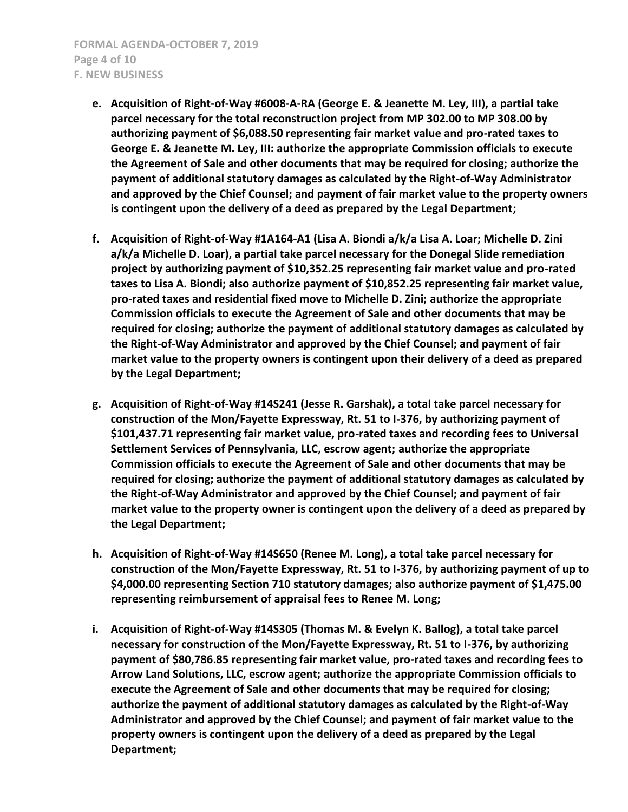- **e. Acquisition of Right-of-Way #6008-A-RA (George E. & Jeanette M. Ley, III), a partial take parcel necessary for the total reconstruction project from MP 302.00 to MP 308.00 by authorizing payment of \$6,088.50 representing fair market value and pro-rated taxes to George E. & Jeanette M. Ley, III: authorize the appropriate Commission officials to execute the Agreement of Sale and other documents that may be required for closing; authorize the payment of additional statutory damages as calculated by the Right-of-Way Administrator and approved by the Chief Counsel; and payment of fair market value to the property owners is contingent upon the delivery of a deed as prepared by the Legal Department;**
- **f. Acquisition of Right-of-Way #1A164-A1 (Lisa A. Biondi a/k/a Lisa A. Loar; Michelle D. Zini a/k/a Michelle D. Loar), a partial take parcel necessary for the Donegal Slide remediation project by authorizing payment of \$10,352.25 representing fair market value and pro-rated taxes to Lisa A. Biondi; also authorize payment of \$10,852.25 representing fair market value, pro-rated taxes and residential fixed move to Michelle D. Zini; authorize the appropriate Commission officials to execute the Agreement of Sale and other documents that may be required for closing; authorize the payment of additional statutory damages as calculated by the Right-of-Way Administrator and approved by the Chief Counsel; and payment of fair market value to the property owners is contingent upon their delivery of a deed as prepared by the Legal Department;**
- **g. Acquisition of Right-of-Way #14S241 (Jesse R. Garshak), a total take parcel necessary for construction of the Mon/Fayette Expressway, Rt. 51 to I-376, by authorizing payment of \$101,437.71 representing fair market value, pro-rated taxes and recording fees to Universal Settlement Services of Pennsylvania, LLC, escrow agent; authorize the appropriate Commission officials to execute the Agreement of Sale and other documents that may be required for closing; authorize the payment of additional statutory damages as calculated by the Right-of-Way Administrator and approved by the Chief Counsel; and payment of fair market value to the property owner is contingent upon the delivery of a deed as prepared by the Legal Department;**
- **h. Acquisition of Right-of-Way #14S650 (Renee M. Long), a total take parcel necessary for construction of the Mon/Fayette Expressway, Rt. 51 to I-376, by authorizing payment of up to \$4,000.00 representing Section 710 statutory damages; also authorize payment of \$1,475.00 representing reimbursement of appraisal fees to Renee M. Long;**
- **i. Acquisition of Right-of-Way #14S305 (Thomas M. & Evelyn K. Ballog), a total take parcel necessary for construction of the Mon/Fayette Expressway, Rt. 51 to I-376, by authorizing payment of \$80,786.85 representing fair market value, pro-rated taxes and recording fees to Arrow Land Solutions, LLC, escrow agent; authorize the appropriate Commission officials to execute the Agreement of Sale and other documents that may be required for closing; authorize the payment of additional statutory damages as calculated by the Right-of-Way Administrator and approved by the Chief Counsel; and payment of fair market value to the property owners is contingent upon the delivery of a deed as prepared by the Legal Department;**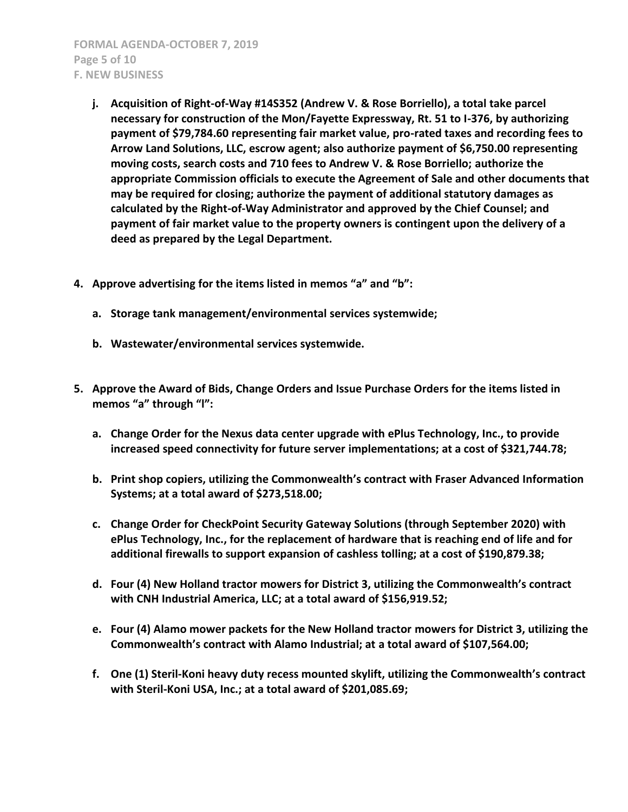**FORMAL AGENDA-OCTOBER 7, 2019 Page 5 of 10 F. NEW BUSINESS**

- **j. Acquisition of Right-of-Way #14S352 (Andrew V. & Rose Borriello), a total take parcel necessary for construction of the Mon/Fayette Expressway, Rt. 51 to I-376, by authorizing payment of \$79,784.60 representing fair market value, pro-rated taxes and recording fees to Arrow Land Solutions, LLC, escrow agent; also authorize payment of \$6,750.00 representing moving costs, search costs and 710 fees to Andrew V. & Rose Borriello; authorize the appropriate Commission officials to execute the Agreement of Sale and other documents that may be required for closing; authorize the payment of additional statutory damages as calculated by the Right-of-Way Administrator and approved by the Chief Counsel; and payment of fair market value to the property owners is contingent upon the delivery of a deed as prepared by the Legal Department.**
- **4. Approve advertising for the items listed in memos "a" and "b":**
	- **a. Storage tank management/environmental services systemwide;**
	- **b. Wastewater/environmental services systemwide.**
- **5. Approve the Award of Bids, Change Orders and Issue Purchase Orders for the items listed in memos "a" through "l":**
	- **a. Change Order for the Nexus data center upgrade with ePlus Technology, Inc., to provide increased speed connectivity for future server implementations; at a cost of \$321,744.78;**
	- **b. Print shop copiers, utilizing the Commonwealth's contract with Fraser Advanced Information Systems; at a total award of \$273,518.00;**
	- **c. Change Order for CheckPoint Security Gateway Solutions (through September 2020) with ePlus Technology, Inc., for the replacement of hardware that is reaching end of life and for additional firewalls to support expansion of cashless tolling; at a cost of \$190,879.38;**
	- **d. Four (4) New Holland tractor mowers for District 3, utilizing the Commonwealth's contract with CNH Industrial America, LLC; at a total award of \$156,919.52;**
	- **e. Four (4) Alamo mower packets for the New Holland tractor mowers for District 3, utilizing the Commonwealth's contract with Alamo Industrial; at a total award of \$107,564.00;**
	- **f. One (1) Steril-Koni heavy duty recess mounted skylift, utilizing the Commonwealth's contract with Steril-Koni USA, Inc.; at a total award of \$201,085.69;**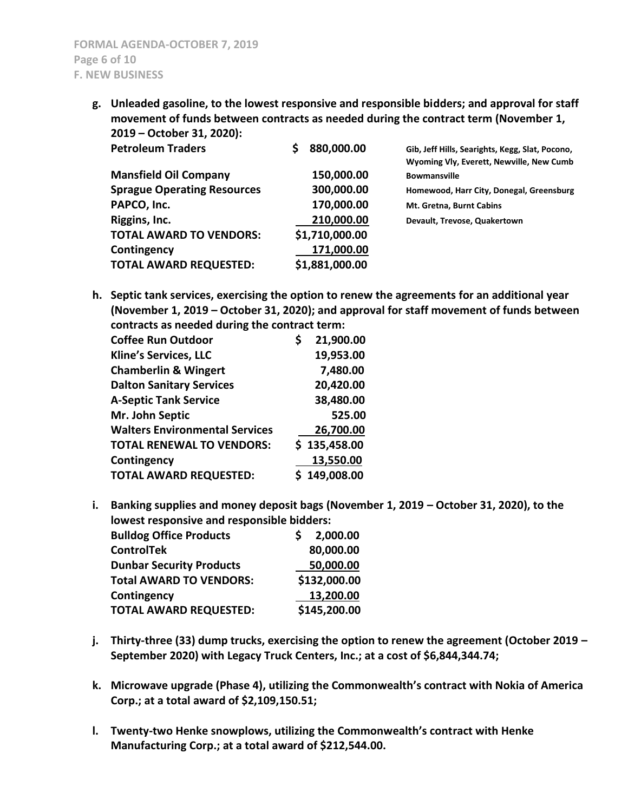**g. Unleaded gasoline, to the lowest responsive and responsible bidders; and approval for staff movement of funds between contracts as needed during the contract term (November 1, 2019 – October 31, 2020):**

| <b>Petroleum Traders</b>           | 880,000.00     | Gib, Jeff Hills, Searights, Kegg, Slat, Pocono,<br>Wyoming Vly, Everett, Newville, New Cumb |
|------------------------------------|----------------|---------------------------------------------------------------------------------------------|
| <b>Mansfield Oil Company</b>       | 150,000.00     | <b>Bowmansville</b>                                                                         |
| <b>Sprague Operating Resources</b> | 300,000.00     | Homewood, Harr City, Donegal, Greensburg                                                    |
| PAPCO, Inc.                        | 170,000.00     | Mt. Gretna, Burnt Cabins                                                                    |
| Riggins, Inc.                      | 210,000.00     | Devault, Trevose, Quakertown                                                                |
| <b>TOTAL AWARD TO VENDORS:</b>     | \$1,710,000.00 |                                                                                             |
| Contingency                        | 171,000.00     |                                                                                             |
| <b>TOTAL AWARD REQUESTED:</b>      | \$1,881,000.00 |                                                                                             |

**h. Septic tank services, exercising the option to renew the agreements for an additional year (November 1, 2019 – October 31, 2020); and approval for staff movement of funds between contracts as needed during the contract term:**

| <b>Coffee Run Outdoor</b>             | 21,900.00    |
|---------------------------------------|--------------|
| <b>Kline's Services, LLC</b>          | 19,953.00    |
| <b>Chamberlin &amp; Wingert</b>       | 7,480.00     |
| <b>Dalton Sanitary Services</b>       | 20,420.00    |
| <b>A-Septic Tank Service</b>          | 38,480.00    |
| Mr. John Septic                       | 525.00       |
| <b>Walters Environmental Services</b> | 26,700.00    |
| <b>TOTAL RENEWAL TO VENDORS:</b>      | \$135,458.00 |
| Contingency                           | 13,550.00    |
| <b>TOTAL AWARD REQUESTED:</b>         | \$149,008.00 |

**i.** Banking supplies and money deposit bags (November 1, 2019 – October 31, 2020), to the **lowest responsive and responsible bidders:**

| <b>Bulldog Office Products</b>  | 2,000.00     |
|---------------------------------|--------------|
| <b>ControlTek</b>               | 80,000.00    |
| <b>Dunbar Security Products</b> | 50,000.00    |
| <b>Total AWARD TO VENDORS:</b>  | \$132,000.00 |
| Contingency                     | 13,200.00    |
| <b>TOTAL AWARD REQUESTED:</b>   | \$145,200.00 |

- **j. Thirty-three (33) dump trucks, exercising the option to renew the agreement (October 2019 – September 2020) with Legacy Truck Centers, Inc.; at a cost of \$6,844,344.74;**
- **k. Microwave upgrade (Phase 4), utilizing the Commonwealth's contract with Nokia of America Corp.; at a total award of \$2,109,150.51;**
- **l. Twenty-two Henke snowplows, utilizing the Commonwealth's contract with Henke Manufacturing Corp.; at a total award of \$212,544.00.**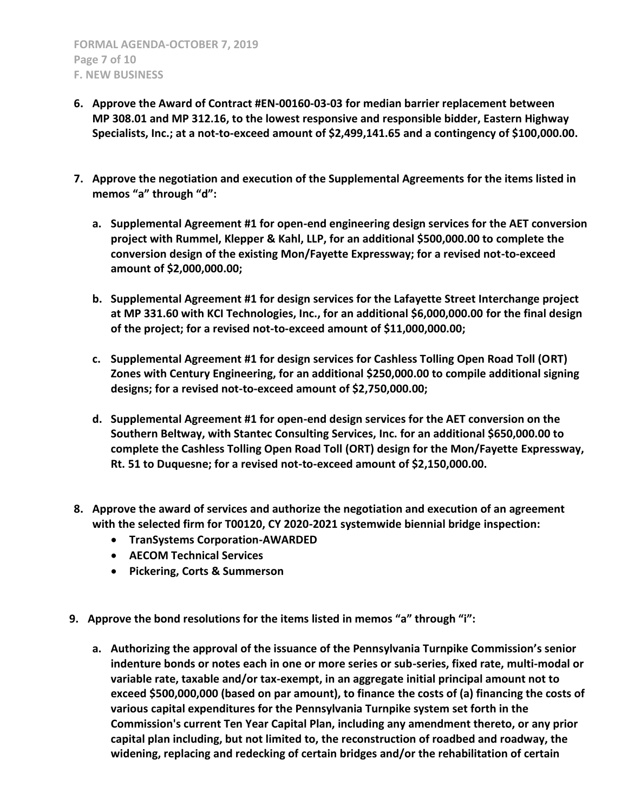- **6. Approve the Award of Contract #EN-00160-03-03 for median barrier replacement between MP 308.01 and MP 312.16, to the lowest responsive and responsible bidder, Eastern Highway Specialists, Inc.; at a not-to-exceed amount of \$2,499,141.65 and a contingency of \$100,000.00.**
- **7. Approve the negotiation and execution of the Supplemental Agreements for the items listed in memos "a" through "d":**
	- **a. Supplemental Agreement #1 for open-end engineering design services for the AET conversion project with Rummel, Klepper & Kahl, LLP, for an additional \$500,000.00 to complete the conversion design of the existing Mon/Fayette Expressway; for a revised not-to-exceed amount of \$2,000,000.00;**
	- **b. Supplemental Agreement #1 for design services for the Lafayette Street Interchange project at MP 331.60 with KCI Technologies, Inc., for an additional \$6,000,000.00 for the final design of the project; for a revised not-to-exceed amount of \$11,000,000.00;**
	- **c. Supplemental Agreement #1 for design services for Cashless Tolling Open Road Toll (ORT) Zones with Century Engineering, for an additional \$250,000.00 to compile additional signing designs; for a revised not-to-exceed amount of \$2,750,000.00;**
	- **d. Supplemental Agreement #1 for open-end design services for the AET conversion on the Southern Beltway, with Stantec Consulting Services, Inc. for an additional \$650,000.00 to complete the Cashless Tolling Open Road Toll (ORT) design for the Mon/Fayette Expressway, Rt. 51 to Duquesne; for a revised not-to-exceed amount of \$2,150,000.00.**
- **8. Approve the award of services and authorize the negotiation and execution of an agreement with the selected firm for T00120, CY 2020-2021 systemwide biennial bridge inspection:**
	- **TranSystems Corporation-AWARDED**
	- **AECOM Technical Services**
	- **Pickering, Corts & Summerson**
- **9. Approve the bond resolutions for the items listed in memos "a" through "i":**
	- **a. Authorizing the approval of the issuance of the Pennsylvania Turnpike Commission's senior indenture bonds or notes each in one or more series or sub-series, fixed rate, multi-modal or variable rate, taxable and/or tax-exempt, in an aggregate initial principal amount not to exceed \$500,000,000 (based on par amount), to finance the costs of (a) financing the costs of various capital expenditures for the Pennsylvania Turnpike system set forth in the Commission's current Ten Year Capital Plan, including any amendment thereto, or any prior capital plan including, but not limited to, the reconstruction of roadbed and roadway, the widening, replacing and redecking of certain bridges and/or the rehabilitation of certain**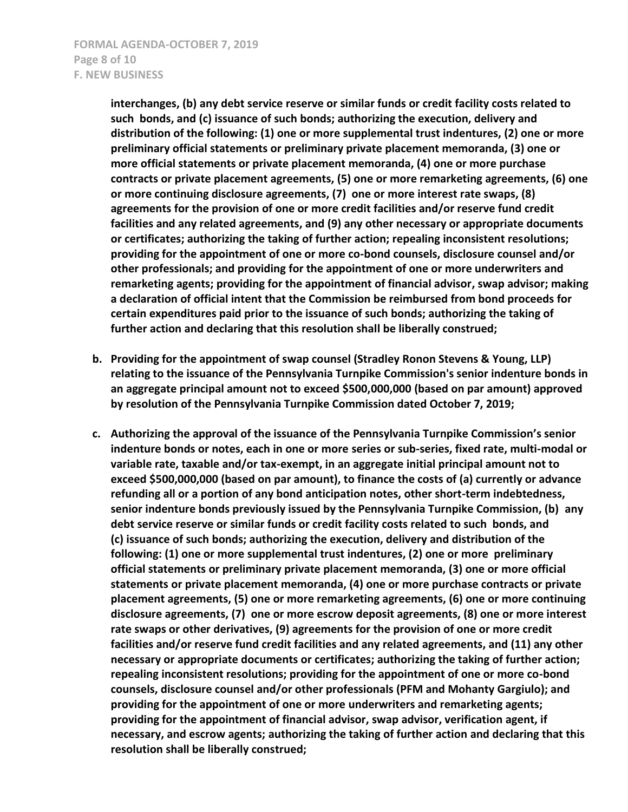**interchanges, (b) any debt service reserve or similar funds or credit facility costs related to such bonds, and (c) issuance of such bonds; authorizing the execution, delivery and distribution of the following: (1) one or more supplemental trust indentures, (2) one or more preliminary official statements or preliminary private placement memoranda, (3) one or more official statements or private placement memoranda, (4) one or more purchase contracts or private placement agreements, (5) one or more remarketing agreements, (6) one or more continuing disclosure agreements, (7) one or more interest rate swaps, (8) agreements for the provision of one or more credit facilities and/or reserve fund credit facilities and any related agreements, and (9) any other necessary or appropriate documents or certificates; authorizing the taking of further action; repealing inconsistent resolutions; providing for the appointment of one or more co-bond counsels, disclosure counsel and/or other professionals; and providing for the appointment of one or more underwriters and remarketing agents; providing for the appointment of financial advisor, swap advisor; making a declaration of official intent that the Commission be reimbursed from bond proceeds for certain expenditures paid prior to the issuance of such bonds; authorizing the taking of further action and declaring that this resolution shall be liberally construed;**

- **b. Providing for the appointment of swap counsel (Stradley Ronon Stevens & Young, LLP) relating to the issuance of the Pennsylvania Turnpike Commission's senior indenture bonds in an aggregate principal amount not to exceed \$500,000,000 (based on par amount) approved by resolution of the Pennsylvania Turnpike Commission dated October 7, 2019;**
- **c. Authorizing the approval of the issuance of the Pennsylvania Turnpike Commission's senior indenture bonds or notes, each in one or more series or sub-series, fixed rate, multi-modal or variable rate, taxable and/or tax-exempt, in an aggregate initial principal amount not to exceed \$500,000,000 (based on par amount), to finance the costs of (a) currently or advance refunding all or a portion of any bond anticipation notes, other short-term indebtedness, senior indenture bonds previously issued by the Pennsylvania Turnpike Commission, (b) any debt service reserve or similar funds or credit facility costs related to such bonds, and (c) issuance of such bonds; authorizing the execution, delivery and distribution of the following: (1) one or more supplemental trust indentures, (2) one or more preliminary official statements or preliminary private placement memoranda, (3) one or more official statements or private placement memoranda, (4) one or more purchase contracts or private placement agreements, (5) one or more remarketing agreements, (6) one or more continuing disclosure agreements, (7) one or more escrow deposit agreements, (8) one or more interest rate swaps or other derivatives, (9) agreements for the provision of one or more credit facilities and/or reserve fund credit facilities and any related agreements, and (11) any other necessary or appropriate documents or certificates; authorizing the taking of further action; repealing inconsistent resolutions; providing for the appointment of one or more co-bond counsels, disclosure counsel and/or other professionals (PFM and Mohanty Gargiulo); and providing for the appointment of one or more underwriters and remarketing agents; providing for the appointment of financial advisor, swap advisor, verification agent, if necessary, and escrow agents; authorizing the taking of further action and declaring that this resolution shall be liberally construed;**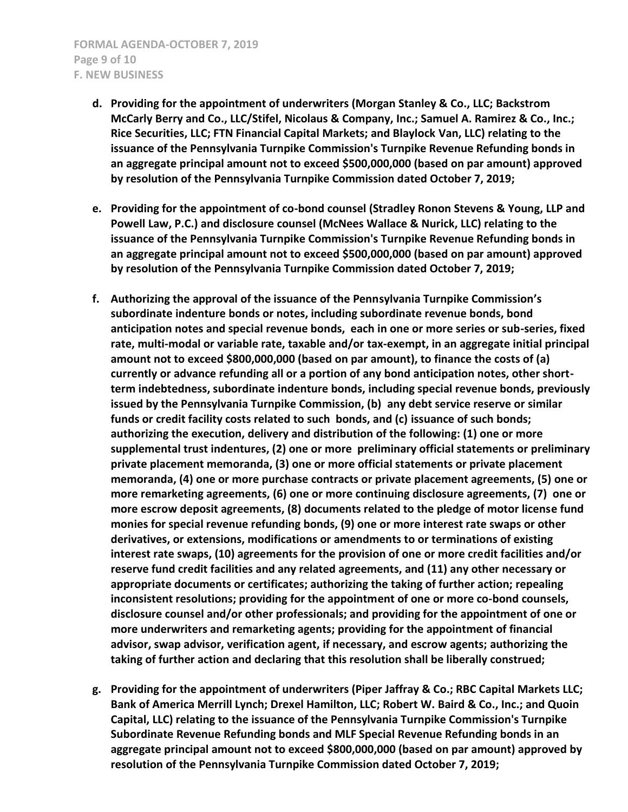- **d. Providing for the appointment of underwriters (Morgan Stanley & Co., LLC; Backstrom McCarly Berry and Co., LLC/Stifel, Nicolaus & Company, Inc.; Samuel A. Ramirez & Co., Inc.; Rice Securities, LLC; FTN Financial Capital Markets; and Blaylock Van, LLC) relating to the issuance of the Pennsylvania Turnpike Commission's Turnpike Revenue Refunding bonds in an aggregate principal amount not to exceed \$500,000,000 (based on par amount) approved by resolution of the Pennsylvania Turnpike Commission dated October 7, 2019;**
- **e. Providing for the appointment of co-bond counsel (Stradley Ronon Stevens & Young, LLP and Powell Law, P.C.) and disclosure counsel (McNees Wallace & Nurick, LLC) relating to the issuance of the Pennsylvania Turnpike Commission's Turnpike Revenue Refunding bonds in an aggregate principal amount not to exceed \$500,000,000 (based on par amount) approved by resolution of the Pennsylvania Turnpike Commission dated October 7, 2019;**
- **f. Authorizing the approval of the issuance of the Pennsylvania Turnpike Commission's subordinate indenture bonds or notes, including subordinate revenue bonds, bond anticipation notes and special revenue bonds, each in one or more series or sub-series, fixed rate, multi-modal or variable rate, taxable and/or tax-exempt, in an aggregate initial principal amount not to exceed \$800,000,000 (based on par amount), to finance the costs of (a) currently or advance refunding all or a portion of any bond anticipation notes, other shortterm indebtedness, subordinate indenture bonds, including special revenue bonds, previously issued by the Pennsylvania Turnpike Commission, (b) any debt service reserve or similar funds or credit facility costs related to such bonds, and (c) issuance of such bonds; authorizing the execution, delivery and distribution of the following: (1) one or more supplemental trust indentures, (2) one or more preliminary official statements or preliminary private placement memoranda, (3) one or more official statements or private placement memoranda, (4) one or more purchase contracts or private placement agreements, (5) one or more remarketing agreements, (6) one or more continuing disclosure agreements, (7) one or more escrow deposit agreements, (8) documents related to the pledge of motor license fund monies for special revenue refunding bonds, (9) one or more interest rate swaps or other derivatives, or extensions, modifications or amendments to or terminations of existing interest rate swaps, (10) agreements for the provision of one or more credit facilities and/or reserve fund credit facilities and any related agreements, and (11) any other necessary or appropriate documents or certificates; authorizing the taking of further action; repealing inconsistent resolutions; providing for the appointment of one or more co-bond counsels, disclosure counsel and/or other professionals; and providing for the appointment of one or more underwriters and remarketing agents; providing for the appointment of financial advisor, swap advisor, verification agent, if necessary, and escrow agents; authorizing the taking of further action and declaring that this resolution shall be liberally construed;**
- **g. Providing for the appointment of underwriters (Piper Jaffray & Co.; RBC Capital Markets LLC; Bank of America Merrill Lynch; Drexel Hamilton, LLC; Robert W. Baird & Co., Inc.; and Quoin Capital, LLC) relating to the issuance of the Pennsylvania Turnpike Commission's Turnpike Subordinate Revenue Refunding bonds and MLF Special Revenue Refunding bonds in an aggregate principal amount not to exceed \$800,000,000 (based on par amount) approved by resolution of the Pennsylvania Turnpike Commission dated October 7, 2019;**